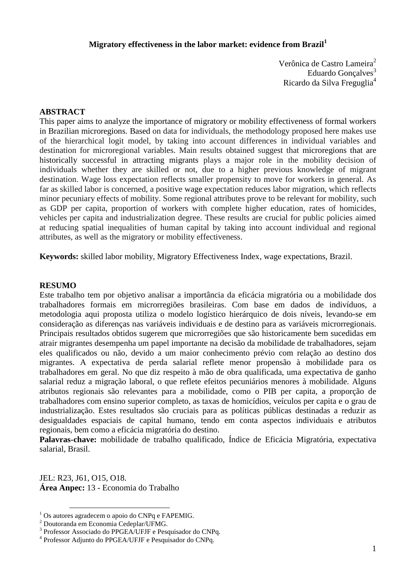# **Migratory effectiveness in the labor market: evidence from Brazil<sup>1</sup>**

Verônica de Castro Lameira<sup>2</sup> Eduardo Gonçalves<sup>3</sup> Ricardo da Silva Freguglia<sup>4</sup>

## **ABSTRACT**

This paper aims to analyze the importance of migratory or mobility effectiveness of formal workers in Brazilian microregions. Based on data for individuals, the methodology proposed here makes use of the hierarchical logit model, by taking into account differences in individual variables and destination for microregional variables. Main results obtained suggest that microregions that are historically successful in attracting migrants plays a major role in the mobility decision of individuals whether they are skilled or not, due to a higher previous knowledge of migrant destination. Wage loss expectation reflects smaller propensity to move for workers in general. As far as skilled labor is concerned, a positive wage expectation reduces labor migration, which reflects minor pecuniary effects of mobility. Some regional attributes prove to be relevant for mobility, such as GDP per capita, proportion of workers with complete higher education, rates of homicides, vehicles per capita and industrialization degree. These results are crucial for public policies aimed at reducing spatial inequalities of human capital by taking into account individual and regional attributes, as well as the migratory or mobility effectiveness.

**Keywords:** skilled labor mobility, Migratory Effectiveness Index, wage expectations, Brazil.

## **RESUMO**

Este trabalho tem por objetivo analisar a importância da eficácia migratória ou a mobilidade dos trabalhadores formais em microrregiões brasileiras. Com base em dados de indivíduos, a metodologia aqui proposta utiliza o modelo logístico hierárquico de dois níveis, levando-se em consideração as diferenças nas variáveis individuais e de destino para as variáveis microrregionais. Principais resultados obtidos sugerem que microrregiões que são historicamente bem sucedidas em atrair migrantes desempenha um papel importante na decisão da mobilidade de trabalhadores, sejam eles qualificados ou não, devido a um maior conhecimento prévio com relação ao destino dos migrantes. A expectativa de perda salarial reflete menor propensão à mobilidade para os trabalhadores em geral. No que diz respeito à mão de obra qualificada, uma expectativa de ganho salarial reduz a migração laboral, o que reflete efeitos pecuniários menores à mobilidade. Alguns atributos regionais são relevantes para a mobilidade, como o PIB per capita, a proporção de trabalhadores com ensino superior completo, as taxas de homicídios, veículos per capita e o grau de industrialização. Estes resultados são cruciais para as políticas públicas destinadas a reduzir as desigualdades espaciais de capital humano, tendo em conta aspectos individuais e atributos regionais, bem como a eficácia migratória do destino.

**Palavras-chave:** mobilidade de trabalho qualificado, Índice de Eficácia Migratória, expectativa salarial, Brasil.

JEL: R23, J61, O15, O18. **Área Anpec:** 13 - Economia do Trabalho

 $\overline{a}$ 

<sup>&</sup>lt;sup>1</sup> Os autores agradecem o apoio do CNPq e FAPEMIG.

<sup>2</sup> Doutoranda em Economia Cedeplar/UFMG.

<sup>3</sup> Professor Associado do PPGEA/UFJF e Pesquisador do CNPq.

<sup>4</sup> Professor Adjunto do PPGEA/UFJF e Pesquisador do CNPq.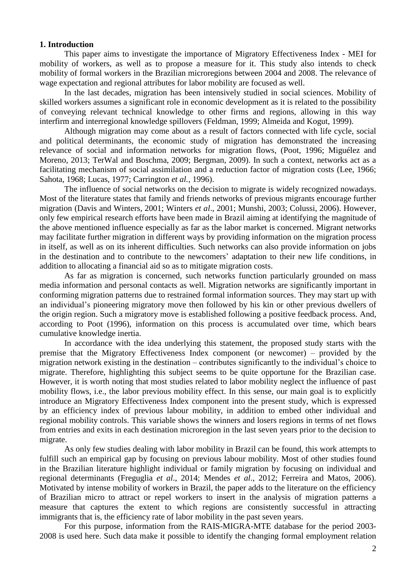## **1. Introduction**

This paper aims to investigate the importance of Migratory Effectiveness Index - MEI for mobility of workers, as well as to propose a measure for it. This study also intends to check mobility of formal workers in the Brazilian microregions between 2004 and 2008. The relevance of wage expectation and regional attributes for labor mobility are focused as well.

In the last decades, migration has been intensively studied in social sciences. Mobility of skilled workers assumes a significant role in economic development as it is related to the possibility of conveying relevant technical knowledge to other firms and regions, allowing in this way interfirm and interregional knowledge spillovers (Feldman, 1999; Almeida and Kogut, 1999).

Although migration may come about as a result of factors connected with life cycle, social and political determinants, the economic study of migration has demonstrated the increasing relevance of social and information networks for migration flows, (Poot, 1996; Miguélez and Moreno, 2013; TerWal and Boschma, 2009; Bergman, 2009). In such a context, networks act as a facilitating mechanism of social assimilation and a reduction factor of migration costs (Lee, 1966; Sahota, 1968; Lucas, 1977; Carrington *et al.,* 1996).

The influence of social networks on the decision to migrate is widely recognized nowadays. Most of the literature states that family and friends networks of previous migrants encourage further migration (Davis and Winters, 2001; Winters *et al*., 2001; Munshi, 2003; Colussi, 2006). However, only few empirical research efforts have been made in Brazil aiming at identifying the magnitude of the above mentioned influence especially as far as the labor market is concerned. Migrant networks may facilitate further migration in different ways by providing information on the migration process in itself, as well as on its inherent difficulties. Such networks can also provide information on jobs in the destination and to contribute to the newcomers' adaptation to their new life conditions, in addition to allocating a financial aid so as to mitigate migration costs.

As far as migration is concerned, such networks function particularly grounded on mass media information and personal contacts as well. Migration networks are significantly important in conforming migration patterns due to restrained formal information sources. They may start up with an individual's pioneering migratory move then followed by his kin or other previous dwellers of the origin region. Such a migratory move is established following a positive feedback process. And, according to Poot (1996), information on this process is accumulated over time, which bears cumulative knowledge inertia.

In accordance with the idea underlying this statement, the proposed study starts with the premise that the Migratory Effectiveness Index component (or newcomer) – provided by the migration network existing in the destination – contributes significantly to the individual's choice to migrate. Therefore, highlighting this subject seems to be quite opportune for the Brazilian case. However, it is worth noting that most studies related to labor mobility neglect the influence of past mobility flows, i.e., the labor previous mobility effect. In this sense, our main goal is to explicitly introduce an Migratory Effectiveness Index component into the present study, which is expressed by an efficiency index of previous labour mobility, in addition to embed other individual and regional mobility controls. This variable shows the winners and losers regions in terms of net flows from entries and exits in each destination microregion in the last seven years prior to the decision to migrate.

As only few studies dealing with labor mobility in Brazil can be found, this work attempts to fulfill such an empirical gap by focusing on previous labour mobility. Most of other studies found in the Brazilian literature highlight individual or family migration by focusing on individual and regional determinants (Freguglia *et al*., 2014; Mendes *et al*., 2012; Ferreira and Matos, 2006). Motivated by intense mobility of workers in Brazil, the paper adds to the literature on the efficiency of Brazilian micro to attract or repel workers to insert in the analysis of migration patterns a measure that captures the extent to which regions are consistently successful in attracting immigrants that is, the efficiency rate of labor mobility in the past seven years.

For this purpose, information from the RAIS-MIGRA-MTE database for the period 2003- 2008 is used here. Such data make it possible to identify the changing formal employment relation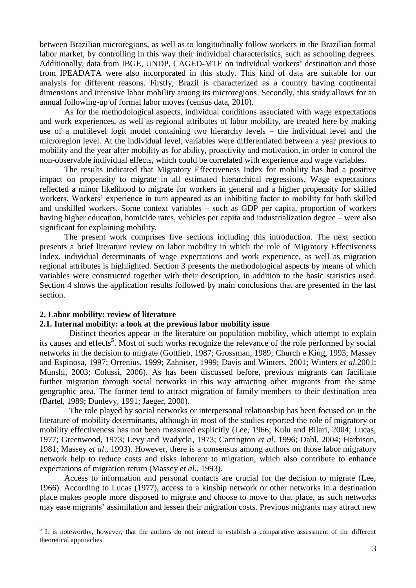between Brazilian microregions, as well as to longitudinally follow workers in the Brazilian formal labor market, by controlling in this way their individual characteristics, such as schooling degrees. Additionally, data from IBGE, UNDP, CAGED-MTE on individual workers' destination and those from IPEADATA were also incorporated in this study. This kind of data are suitable for our analysis for different reasons. Firstly, Brazil is characterized as a country having continental dimensions and intensive labor mobility among its microregions. Secondly, this study allows for an annual following-up of formal labor moves (census data, 2010).

As for the methodological aspects, individual conditions associated with wage expectations and work experiences, as well as regional attributes of labor mobility, are treated here by making use of a multilevel logit model containing two hierarchy levels – the individual level and the microregion level. At the individual level, variables were differentiated between a year previous to mobility and the year after mobility as for ability, proactivity and motivation, in order to control the non-observable individual effects, which could be correlated with experience and wage variables.

The results indicated that Migratory Effectiveness Index for mobility has had a positive impact on propensity to migrate in all estimated hierarchical regressions. Wage expectations reflected a minor likelihood to migrate for workers in general and a higher propensity for skilled workers. Workers' experience in turn appeared as an inhibiting factor to mobility for both skilled and unskilled workers. Some context variables – such as GDP per capita, proportion of workers having higher education, homicide rates, vehicles per capita and industrialization degree – were also significant for explaining mobility.

The present work comprises five sections including this introduction. The next section presents a brief literature review on labor mobility in which the role of Migratory Effectiveness Index, individual determinants of wage expectations and work experience, as well as migration regional attributes is highlighted. Section 3 presents the methodological aspects by means of which variables were constructed together with their description, in addition to the basic statistics used. Section 4 shows the application results followed by main conclusions that are presented in the last section.

#### **2. Labor mobility: review of literature**

 $\overline{a}$ 

#### **2.1. Internal mobility: a look at the previous labor mobility issue**

Distinct theories appear in the literature on population mobility, which attempt to explain its causes and effects**<sup>5</sup>** . Most of such works recognize the relevance of the role performed by social networks in the decision to migrate (Gottlieb, 1987; Grossman, 1989; Church e King, 1993; Massey and Espinosa, 1997; Orrenius, 1999; Zahniser, 1999; Davis and Winters, 2001; Winters *et al.*2001; Munshi, 2003; Colussi, 2006). As has been discussed before, previous migrants can facilitate further migration through social networks in this way attracting other migrants from the same geographic area. The former tend to attract migration of family members to their destination area (Bartel, 1989; Dunlevy, 1991; Jaeger, 2000).

The role played by social networks or interpersonal relationship has been focused on in the literature of mobility determinants, although in most of the studies reported the role of migratory or mobility effectiveness has not been measured explicitly (Lee, 1966; Kulu and Bilari, 2004; Lucas, 1977; Greenwood, 1973; Levy and Wadycki, 1973; Carrington *et al.* 1996; Dahl, 2004; Harbison, 1981; Massey *et al*., 1993). However, there is a consensus among authors on those labor migratory network help to reduce costs and risks inherent to migration, which also contribute to enhance expectations of migration return (Massey *et al*., 1993).

Access to information and personal contacts are crucial for the decision to migrate (Lee, 1966). According to Lucas (1977), access to a kinship network or other networks in a destination place makes people more disposed to migrate and choose to move to that place, as such networks may ease migrants' assimilation and lessen their migration costs. Previous migrants may attract new

<sup>&</sup>lt;sup>5</sup> It is noteworthy, however, that the authors do not intend to establish a comparative assessment of the different theoretical approaches.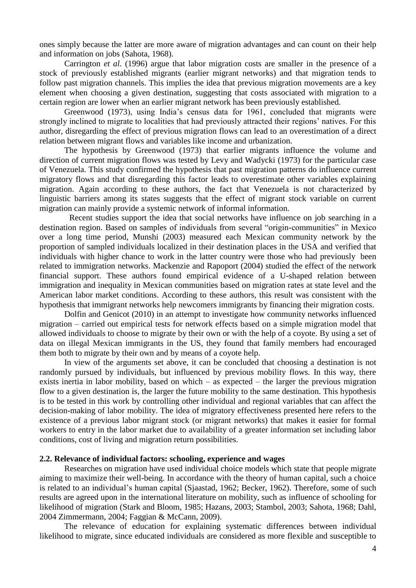ones simply because the latter are more aware of migration advantages and can count on their help and information on jobs (Sahota, 1968).

Carrington *et al.* (1996) argue that labor migration costs are smaller in the presence of a stock of previously established migrants (earlier migrant networks) and that migration tends to follow past migration channels. This implies the idea that previous migration movements are a key element when choosing a given destination, suggesting that costs associated with migration to a certain region are lower when an earlier migrant network has been previously established.

Greenwood (1973), using India's census data for 1961, concluded that migrants were strongly inclined to migrate to localities that had previously attracted their regions' natives. For this author, disregarding the effect of previous migration flows can lead to an overestimation of a direct relation between migrant flows and variables like income and urbanization.

The hypothesis by Greenwood (1973) that earlier migrants influence the volume and direction of current migration flows was tested by Levy and Wadycki (1973) for the particular case of Venezuela. This study confirmed the hypothesis that past migration patterns do influence current migratory flows and that disregarding this factor leads to overestimate other variables explaining migration. Again according to these authors, the fact that Venezuela is not characterized by linguistic barriers among its states suggests that the effect of migrant stock variable on current migration can mainly provide a systemic network of informal information.

Recent studies support the idea that social networks have influence on job searching in a destination region. Based on samples of individuals from several "origin-communities" in Mexico over a long time period, Munshi (2003) measured each Mexican community network by the proportion of sampled individuals localized in their destination places in the USA and verified that individuals with higher chance to work in the latter country were those who had previously been related to immigration networks. Mackenzie and Rapoport (2004) studied the effect of the network financial support. These authors found empirical evidence of a U-shaped relation between immigration and inequality in Mexican communities based on migration rates at state level and the American labor market conditions. According to these authors, this result was consistent with the hypothesis that immigrant networks help newcomers immigrants by financing their migration costs.

Dolfin and Genicot (2010) in an attempt to investigate how community networks influenced migration – carried out empirical tests for network effects based on a simple migration model that allowed individuals to choose to migrate by their own or with the help of a coyote. By using a set of data on illegal Mexican immigrants in the US, they found that family members had encouraged them both to migrate by their own and by means of a coyote help.

In view of the arguments set above, it can be concluded that choosing a destination is not randomly pursued by individuals, but influenced by previous mobility flows. In this way, there exists inertia in labor mobility, based on which – as expected – the larger the previous migration flow to a given destination is, the larger the future mobility to the same destination. This hypothesis is to be tested in this work by controlling other individual and regional variables that can affect the decision-making of labor mobility. The idea of migratory effectiveness presented here refers to the existence of a previous labor migrant stock (or migrant networks) that makes it easier for formal workers to entry in the labor market due to availability of a greater information set including labor conditions, cost of living and migration return possibilities.

# **2.2. Relevance of individual factors: schooling, experience and wages**

Researches on migration have used individual choice models which state that people migrate aiming to maximize their well-being. In accordance with the theory of human capital, such a choice is related to an individual's human capital (Sjaastad, 1962; Becker, 1962). Therefore, some of such results are agreed upon in the international literature on mobility, such as influence of schooling for likelihood of migration (Stark and Bloom, 1985; Hazans, 2003; Stambol, 2003; Sahota, 1968; Dahl, 2004 Zimmermann, 2004; Faggian & McCann, 2009).

The relevance of education for explaining systematic differences between individual likelihood to migrate, since educated individuals are considered as more flexible and susceptible to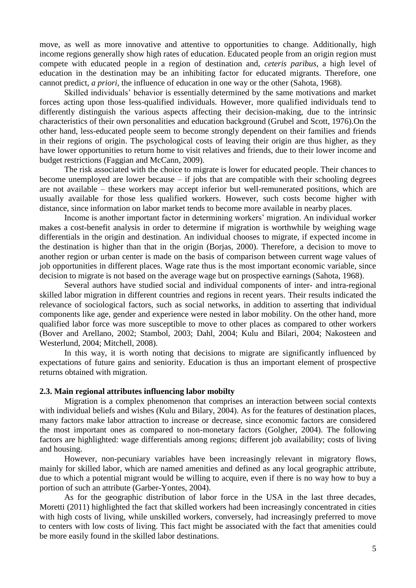move, as well as more innovative and attentive to opportunities to change. Additionally, high income regions generally show high rates of education. Educated people from an origin region must compete with educated people in a region of destination and, *ceteris paribus*, a high level of education in the destination may be an inhibiting factor for educated migrants. Therefore, one cannot predict, *a priori*, the influence of education in one way or the other (Sahota, 1968).

Skilled individuals' behavior is essentially determined by the same motivations and market forces acting upon those less-qualified individuals. However, more qualified individuals tend to differently distinguish the various aspects affecting their decision-making, due to the intrinsic characteristics of their own personalities and education background (Grubel and Scott, 1976).On the other hand, less-educated people seem to become strongly dependent on their families and friends in their regions of origin. The psychological costs of leaving their origin are thus higher, as they have lower opportunities to return home to visit relatives and friends, due to their lower income and budget restrictions (Faggian and McCann, 2009).

The risk associated with the choice to migrate is lower for educated people. Their chances to become unemployed are lower because – if jobs that are compatible with their schooling degrees are not available – these workers may accept inferior but well-remunerated positions, which are usually available for those less qualified workers. However, such costs become higher with distance, since information on labor market tends to become more available in nearby places.

Income is another important factor in determining workers' migration. An individual worker makes a cost-benefit analysis in order to determine if migration is worthwhile by weighing wage differentials in the origin and destination. An individual chooses to migrate, if expected income in the destination is higher than that in the origin (Borjas, 2000). Therefore, a decision to move to another region or urban center is made on the basis of comparison between current wage values of job opportunities in different places. Wage rate thus is the most important economic variable, since decision to migrate is not based on the average wage but on prospective earnings (Sahota, 1968).

Several authors have studied social and individual components of inter- and intra-regional skilled labor migration in different countries and regions in recent years. Their results indicated the relevance of sociological factors, such as social networks, in addition to asserting that individual components like age, gender and experience were nested in labor mobility. On the other hand, more qualified labor force was more susceptible to move to other places as compared to other workers (Bover and Arellano, 2002; Stambol, 2003; Dahl, 2004; Kulu and Bilari, 2004; Nakosteen and Westerlund, 2004; Mitchell, 2008).

In this way, it is worth noting that decisions to migrate are significantly influenced by expectations of future gains and seniority. Education is thus an important element of prospective returns obtained with migration.

#### **2.3. Main regional attributes influencing labor mobilty**

Migration is a complex phenomenon that comprises an interaction between social contexts with individual beliefs and wishes (Kulu and Bilary, 2004). As for the features of destination places, many factors make labor attraction to increase or decrease, since economic factors are considered the most important ones as compared to non-monetary factors (Golgher, 2004). The following factors are highlighted: wage differentials among regions; different job availability; costs of living and housing.

However, non-pecuniary variables have been increasingly relevant in migratory flows, mainly for skilled labor, which are named amenities and defined as any local geographic attribute, due to which a potential migrant would be willing to acquire, even if there is no way how to buy a portion of such an attribute (Garber-Yontes, 2004).

As for the geographic distribution of labor force in the USA in the last three decades, Moretti (2011) highlighted the fact that skilled workers had been increasingly concentrated in cities with high costs of living, while unskilled workers, conversely, had increasingly preferred to move to centers with low costs of living. This fact might be associated with the fact that amenities could be more easily found in the skilled labor destinations.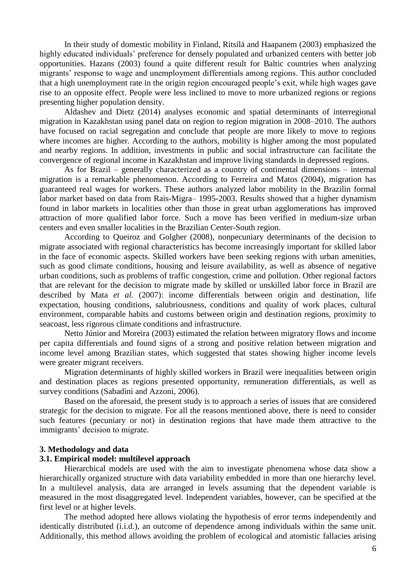In their study of domestic mobility in Finland, Ritsilä and Haapanem (2003) emphasized the highly educated individuals' preference for densely populated and urbanized centers with better job opportunities. Hazans (2003) found a quite different result for Baltic countries when analyzing migrants' response to wage and unemployment differentials among regions. This author concluded that a high unemployment rate in the origin region encouraged people's exit, while high wages gave rise to an opposite effect. People were less inclined to move to more urbanized regions or regions presenting higher population density.

Aldashev and Dietz (2014) analyses economic and spatial determinants of interregional migration in Kazakhstan using panel data on region to region migration in 2008–2010. The authors have focused on racial segregation and conclude that people are more likely to move to regions where incomes are higher. According to the authors, mobility is higher among the most populated and nearby regions. In addition, investments in public and social infrastructure can facilitate the convergence of regional income in Kazakhstan and improve living standards in depressed regions.

As for Brazil – generally characterized as a country of continental dimensions – internal migration is a remarkable phenomenon. According to Ferreira and Matos (2004), migration has guaranteed real wages for workers. These authors analyzed labor mobility in the Brazilin formal labor market based on data from Rais-Migra– 1995-2003. Results showed that a higher dynamism found in labor markets in localities other than those in great urban agglomerations has improved attraction of more qualified labor force. Such a move has been verified in medium-size urban centers and even smaller localities in the Brazilian Center-South region.

According to Queiroz and Golgher (2008), nonpecuniary determinants of the decision to migrate associated with regional characteristics has become increasingly important for skilled labor in the face of economic aspects. Skilled workers have been seeking regions with urban amenities, such as good climate conditions, housing and leisure availability, as well as absence of negative urban conditions, such as problems of traffic congestion, crime and pollution. Other regional factors that are relevant for the decision to migrate made by skilled or unskilled labor force in Brazil are described by Mata *et al.* (2007): income differentials between origin and destination, life expectation, housing conditions, salubriousness, conditions and quality of work places, cultural environment, comparable habits and customs between origin and destination regions, proximity to seacoast, less rigorous climate conditions and infrastructure.

Netto Júnior and Moreira (2003) estimated the relation between migratory flows and income per capita differentials and found signs of a strong and positive relation between migration and income level among Brazilian states, which suggested that states showing higher income levels were greater migrant receivers.

Migration determinants of highly skilled workers in Brazil were inequalities between origin and destination places as regions presented opportunity, remuneration differentials, as well as survey conditions (Sabadini and Azzoni, 2006).

Based on the aforesaid, the present study is to approach a series of issues that are considered strategic for the decision to migrate. For all the reasons mentioned above, there is need to consider such features (pecuniary or not) in destination regions that have made them attractive to the immigrants' decision to migrate.

#### **3. Methodology and data**

#### **3.1. Empirical model: multilevel approach**

Hierarchical models are used with the aim to investigate phenomena whose data show a hierarchically organized structure with data variability embedded in more than one hierarchy level. In a multilevel analysis, data are arranged in levels assuming that the dependent variable is measured in the most disaggregated level. Independent variables, however, can be specified at the first level or at higher levels.

The method adopted here allows violating the hypothesis of error terms independently and identically distributed (i.i.d.), an outcome of dependence among individuals within the same unit. Additionally, this method allows avoiding the problem of ecological and atomistic fallacies arising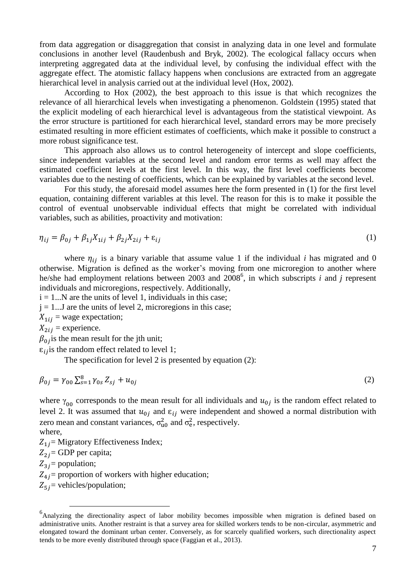from data aggregation or disaggregation that consist in analyzing data in one level and formulate conclusions in another level (Raudenbush and Bryk, 2002). The ecological fallacy occurs when interpreting aggregated data at the individual level, by confusing the individual effect with the aggregate effect. The atomistic fallacy happens when conclusions are extracted from an aggregate hierarchical level in analysis carried out at the individual level (Hox, 2002).

According to Hox (2002), the best approach to this issue is that which recognizes the relevance of all hierarchical levels when investigating a phenomenon. Goldstein (1995) stated that the explicit modeling of each hierarchical level is advantageous from the statistical viewpoint. As the error structure is partitioned for each hierarchical level, standard errors may be more precisely estimated resulting in more efficient estimates of coefficients, which make it possible to construct a more robust significance test.

This approach also allows us to control heterogeneity of intercept and slope coefficients, since independent variables at the second level and random error terms as well may affect the estimated coefficient levels at the first level. In this way, the first level coefficients become variables due to the nesting of coefficients, which can be explained by variables at the second level.

For this study, the aforesaid model assumes here the form presented in (1) for the first level equation, containing different variables at this level. The reason for this is to make it possible the control of eventual unobservable individual effects that might be correlated with individual variables, such as abilities, proactivity and motivation:

$$
\eta_{ij} = \beta_{0j} + \beta_{1j} X_{1ij} + \beta_{2j} X_{2ij} + \varepsilon_{ij}
$$
\n<sup>(1)</sup>

where  $\eta_{ij}$  is a binary variable that assume value 1 if the individual *i* has migrated and 0 otherwise. Migration is defined as the worker's moving from one microregion to another where he/she had employment relations between 2003 and 2008<sup>6</sup>, in which subscripts *i* and *j* represent individuals and microregions, respectively. Additionally,

 $i = 1...N$  are the units of level 1, individuals in this case;

 $j = 1...J$  are the units of level 2, microregions in this case;

 $X_{1ij}$  = wage expectation;

 $X_{2ij}$  = experience.

 $\beta_{0}$  is the mean result for the jth unit;

 $\epsilon_{ij}$  is the random effect related to level 1;

The specification for level 2 is presented by equation (2):

$$
\beta_{0j} = \gamma_{00} \sum_{s=1}^{8} \gamma_{0s} Z_{sj} + u_{0j} \tag{2}
$$

where  $\gamma_{00}$  corresponds to the mean result for all individuals and  $u_{0j}$  is the random effect related to level 2. It was assumed that  $u_{0i}$  and  $\varepsilon_{ii}$  were independent and showed a normal distribution with zero mean and constant variances,  $\sigma_{u0}^2$  and  $\sigma_{e}^2$ , respectively. where,

 $Z_{1i}$  = Migratory Effectiveness Index;

 $Z_{2i}$  = GDP per capita;

 $Z_{3i}$  = population;

 $\overline{a}$ 

 $Z_{4i}$  proportion of workers with higher education;

 $Z_{5i}$  = vehicles/population;

<sup>&</sup>lt;sup>6</sup>Analyzing the directionality aspect of labor mobility becomes impossible when migration is defined based on administrative units. Another restraint is that a survey area for skilled workers tends to be non-circular, asymmetric and elongated toward the dominant urban center. Conversely, as for scarcely qualified workers, such directionality aspect tends to be more evenly distributed through space (Faggian et al., 2013).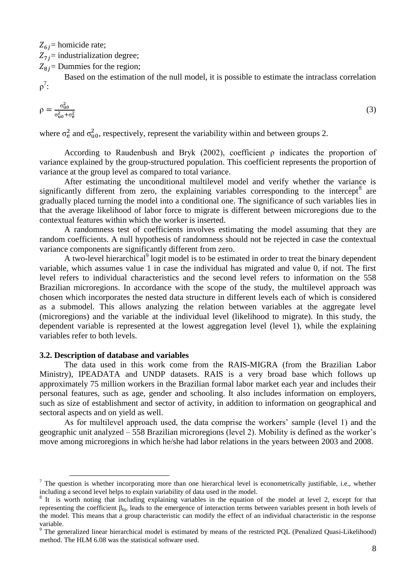$Z_{6i}$  = homicide rate;

 $Z_{7i}$  = industrialization degree;

 $Z_{8i}$  = Dummies for the region;

Based on the estimation of the null model, it is possible to estimate the intraclass correlation  $\rho^7$ :

$$
\rho = \frac{\sigma_{\rm u0}^2}{\sigma_{\rm u0}^2 + \sigma_{\rm e}^2} \tag{3}
$$

where  $\sigma_{\rm e}^2$  and  $\sigma_{\rm u0}^2$ , respectively, represent the variability within and between groups 2.

According to Raudenbush and Bryk (2002), coefficient  $\rho$  indicates the proportion of variance explained by the group-structured population. This coefficient represents the proportion of variance at the group level as compared to total variance.

After estimating the unconditional multilevel model and verify whether the variance is significantly different from zero, the explaining variables corresponding to the intercept<sup>8</sup> are gradually placed turning the model into a conditional one. The significance of such variables lies in that the average likelihood of labor force to migrate is different between microregions due to the contextual features within which the worker is inserted.

A randomness test of coefficients involves estimating the model assuming that they are random coefficients. A null hypothesis of randomness should not be rejected in case the contextual variance components are significantly different from zero.

A two-level hierarchical<sup>9</sup> logit model is to be estimated in order to treat the binary dependent variable, which assumes value 1 in case the individual has migrated and value 0, if not. The first level refers to individual characteristics and the second level refers to information on the 558 Brazilian microregions. In accordance with the scope of the study, the multilevel approach was chosen which incorporates the nested data structure in different levels each of which is considered as a submodel. This allows analyzing the relation between variables at the aggregate level (microregions) and the variable at the individual level (likelihood to migrate). In this study, the dependent variable is represented at the lowest aggregation level (level 1), while the explaining variables refer to both levels.

#### **3.2. Description of database and variables**

 $\overline{a}$ 

The data used in this work come from the RAIS-MIGRA (from the Brazilian Labor Ministry), IPEADATA and UNDP datasets. RAIS is a very broad base which follows up approximately 75 million workers in the Brazilian formal labor market each year and includes their personal features, such as age, gender and schooling. It also includes information on employers, such as size of establishment and sector of activity, in addition to information on geographical and sectoral aspects and on yield as well.

As for multilevel approach used, the data comprise the workers' sample (level 1) and the geographic unit analyzed – 558 Brazilian microregions (level 2). Mobility is defined as the worker's move among microregions in which he/she had labor relations in the years between 2003 and 2008.

 $<sup>7</sup>$  The question is whether incorporating more than one hierarchical level is econometrically justifiable, i.e., whether</sup> including a second level helps to explain variability of data used in the model.

<sup>&</sup>lt;sup>8</sup> It is worth noting that including explaining variables in the equation of the model at level 2, except for that representing the coefficient  $β_{0i}$ , leads to the emergence of interaction terms between variables present in both levels of the model. This means that a group characteristic can modify the effect of an individual characteristic in the response variable.

<sup>9</sup> The generalized linear hierarchical model is estimated by means of the restricted PQL (Penalized Quasi-Likelihood) method. The HLM 6.08 was the statistical software used.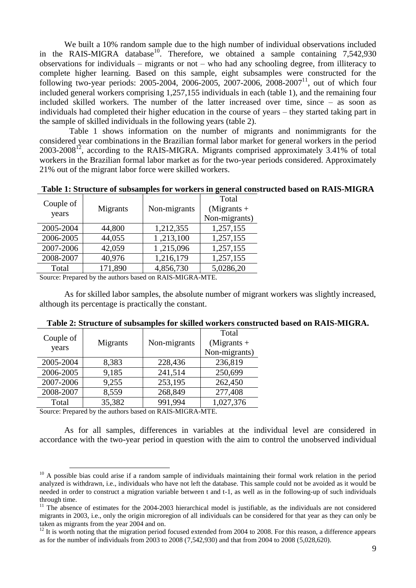We built a 10% random sample due to the high number of individual observations included in the RAIS-MIGRA database<sup>10</sup>. Therefore, we obtained a sample containing 7,542,930 observations for individuals – migrants or not – who had any schooling degree, from illiteracy to complete higher learning. Based on this sample, eight subsamples were constructed for the following two-year periods: 2005-2004, 2006-2005, 2007-2006, 2008-2007<sup>11</sup>, out of which four included general workers comprising 1,257,155 individuals in each (table 1), and the remaining four included skilled workers. The number of the latter increased over time, since – as soon as individuals had completed their higher education in the course of years – they started taking part in the sample of skilled individuals in the following years (table 2).

Table 1 shows information on the number of migrants and nonimmigrants for the considered year combinations in the Brazilian formal labor market for general workers in the period  $2003-2008^{12}$ , according to the RAIS-MIGRA. Migrants comprised approximately 3.41% of total workers in the Brazilian formal labor market as for the two-year periods considered. Approximately 21% out of the migrant labor force were skilled workers.

**Table 1: Structure of subsamples for workers in general constructed based on RAIS-MIGRA**

| Couple of<br>years | Migrants | Non-migrants | Total<br>$(Migrants +$<br>Non-migrants) |
|--------------------|----------|--------------|-----------------------------------------|
| 2005-2004          | 44,800   | 1,212,355    | 1,257,155                               |
| 2006-2005          | 44,055   | 1,213,100    | 1,257,155                               |
| 2007-2006          | 42,059   | 1,215,096    | 1,257,155                               |
| 2008-2007          | 40,976   | 1,216,179    | 1,257,155                               |
| Total              | 171,890  | 4,856,730    | 5,0286,20                               |

Source: Prepared by the authors based on RAIS-MIGRA-MTE.

As for skilled labor samples, the absolute number of migrant workers was slightly increased, although its percentage is practically the constant.

| Couple of<br>years | Migrants | Non-migrants | Total<br>$(Migrants +$<br>Non-migrants) |
|--------------------|----------|--------------|-----------------------------------------|
| 2005-2004          | 8,383    | 228,436      | 236,819                                 |
| 2006-2005          | 9,185    | 241,514      | 250,699                                 |
| 2007-2006          | 9,255    | 253,195      | 262,450                                 |
| 2008-2007          | 8,559    | 268,849      | 277,408                                 |
| Total              | 35,382   | 991,994      | 1,027,376                               |

|  |  |  |  |  |  |  |  |  |  |  |  | Table 2: Structure of subsamples for skilled workers constructed based on RAIS-MIGRA. |  |  |  |  |  |
|--|--|--|--|--|--|--|--|--|--|--|--|---------------------------------------------------------------------------------------|--|--|--|--|--|
|--|--|--|--|--|--|--|--|--|--|--|--|---------------------------------------------------------------------------------------|--|--|--|--|--|

Source: Prepared by the authors based on RAIS-MIGRA-MTE.

 $\overline{a}$ 

As for all samples, differences in variables at the individual level are considered in accordance with the two-year period in question with the aim to control the unobserved individual

 $10$  A possible bias could arise if a random sample of individuals maintaining their formal work relation in the period analyzed is withdrawn, i.e., individuals who have not left the database. This sample could not be avoided as it would be needed in order to construct a migration variable between t and t-1, as well as in the following-up of such individuals through time.

 $11$  The absence of estimates for the 2004-2003 hierarchical model is justifiable, as the individuals are not considered migrants in 2003, i.e., only the origin microregion of all individuals can be considered for that year as they can only be taken as migrants from the year 2004 and on.

 $^{12}$  It is worth noting that the migration period focused extended from 2004 to 2008. For this reason, a difference appears as for the number of individuals from 2003 to 2008 (7,542,930) and that from 2004 to 2008 (5,028,620).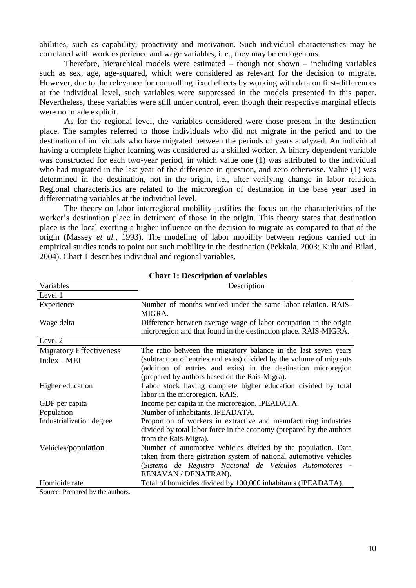abilities, such as capability, proactivity and motivation. Such individual characteristics may be correlated with work experience and wage variables, i. e., they may be endogenous.

Therefore, hierarchical models were estimated – though not shown – including variables such as sex, age, age-squared, which were considered as relevant for the decision to migrate. However, due to the relevance for controlling fixed effects by working with data on first-differences at the individual level, such variables were suppressed in the models presented in this paper. Nevertheless, these variables were still under control, even though their respective marginal effects were not made explicit.

As for the regional level, the variables considered were those present in the destination place. The samples referred to those individuals who did not migrate in the period and to the destination of individuals who have migrated between the periods of years analyzed. An individual having a complete higher learning was considered as a skilled worker. A binary dependent variable was constructed for each two-year period, in which value one (1) was attributed to the individual who had migrated in the last year of the difference in question, and zero otherwise. Value (1) was determined in the destination, not in the origin, i.e., after verifying change in labor relation. Regional characteristics are related to the microregion of destination in the base year used in differentiating variables at the individual level.

The theory on labor interregional mobility justifies the focus on the characteristics of the worker's destination place in detriment of those in the origin. This theory states that destination place is the local exerting a higher influence on the decision to migrate as compared to that of the origin (Massey *et al.*, 1993). The modeling of labor mobility between regions carried out in empirical studies tends to point out such mobility in the destination (Pekkala, 2003; Kulu and Bilari, 2004). Chart 1 describes individual and regional variables.

| Variables                      | Description                                                                                                                                                                                                            |
|--------------------------------|------------------------------------------------------------------------------------------------------------------------------------------------------------------------------------------------------------------------|
| Level 1                        |                                                                                                                                                                                                                        |
| Experience                     | Number of months worked under the same labor relation. RAIS-<br>MIGRA.                                                                                                                                                 |
| Wage delta                     | Difference between average wage of labor occupation in the origin<br>microregion and that found in the destination place. RAIS-MIGRA.                                                                                  |
| Level 2                        |                                                                                                                                                                                                                        |
| <b>Migratory Effectiveness</b> | The ratio between the migratory balance in the last seven years                                                                                                                                                        |
| Index - MEI                    | (subtraction of entries and exits) divided by the volume of migrants<br>(addition of entries and exits) in the destination microregion                                                                                 |
|                                | (prepared by authors based on the Rais-Migra).                                                                                                                                                                         |
| Higher education               | Labor stock having complete higher education divided by total                                                                                                                                                          |
|                                | labor in the microregion. RAIS.                                                                                                                                                                                        |
| GDP per capita                 | Income per capita in the microregion. IPEADATA.                                                                                                                                                                        |
| Population                     | Number of inhabitants. IPEADATA.                                                                                                                                                                                       |
| Industrialization degree       | Proportion of workers in extractive and manufacturing industries<br>divided by total labor force in the economy (prepared by the authors<br>from the Rais-Migra).                                                      |
| Vehicles/population            | Number of automotive vehicles divided by the population. Data<br>taken from there gistration system of national automotive vehicles<br>(Sistema de Registro Nacional de Veículos Automotores -<br>RENAVAN / DENATRAN). |
| Homicide rate                  | Total of homicides divided by 100,000 inhabitants (IPEADATA).                                                                                                                                                          |
| Course Dragonal by the outbour |                                                                                                                                                                                                                        |

**Chart 1: Description of variables** 

Source: Prepared by the authors.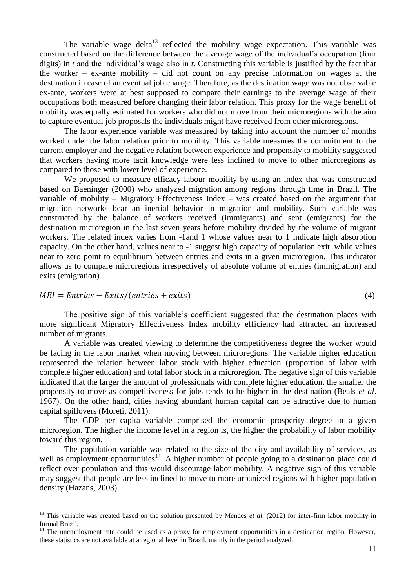The variable wage delta<sup>13</sup> reflected the mobility wage expectation. This variable was constructed based on the difference between the average wage of the individual's occupation (four digits) in *t* and the individual's wage also in *t*. Constructing this variable is justified by the fact that the worker – ex-ante mobility – did not count on any precise information on wages at the destination in case of an eventual job change. Therefore, as the destination wage was not observable ex-ante, workers were at best supposed to compare their earnings to the average wage of their occupations both measured before changing their labor relation. This proxy for the wage benefit of mobility was equally estimated for workers who did not move from their microregions with the aim to capture eventual job proposals the individuals might have received from other microregions.

The labor experience variable was measured by taking into account the number of months worked under the labor relation prior to mobility. This variable measures the commitment to the current employer and the negative relation between experience and propensity to mobility suggested that workers having more tacit knowledge were less inclined to move to other microregions as compared to those with lower level of experience.

We proposed to measure efficacy labour mobility by using an index that was constructed based on Baeninger (2000) who analyzed migration among regions through time in Brazil. The variable of mobility – Migratory Effectiveness Index – was created based on the argument that migration networks bear an inertial behavior in migration and mobility. Such variable was constructed by the balance of workers received (immigrants) and sent (emigrants) for the destination microregion in the last seven years before mobility divided by the volume of migrant workers. The related index varies from -1and 1 whose values near to 1 indicate high absorption capacity. On the other hand, values near to -1 suggest high capacity of population exit, while values near to zero point to equilibrium between entries and exits in a given microregion. This indicator allows us to compare microregions irrespectively of absolute volume of entries (immigration) and exits (emigration).

 $MEI = Entries - Exits/(entries + exits)$  (4)

 $\overline{a}$ 

The positive sign of this variable's coefficient suggested that the destination places with more significant Migratory Effectiveness Index mobility efficiency had attracted an increased number of migrants.

A variable was created viewing to determine the competitiveness degree the worker would be facing in the labor market when moving between microregions. The variable higher education represented the relation between labor stock with higher education (proportion of labor with complete higher education) and total labor stock in a microregion. The negative sign of this variable indicated that the larger the amount of professionals with complete higher education, the smaller the propensity to move as competitiveness for jobs tends to be higher in the destination (Beals *et al*. 1967). On the other hand, cities having abundant human capital can be attractive due to human capital spillovers (Moreti, 2011).

The GDP per capita variable comprised the economic prosperity degree in a given microregion. The higher the income level in a region is, the higher the probability of labor mobility toward this region.

The population variable was related to the size of the city and availability of services, as well as employment opportunities<sup>14</sup>. A higher number of people going to a destination place could reflect over population and this would discourage labor mobility. A negative sign of this variable may suggest that people are less inclined to move to more urbanized regions with higher population density (Hazans, 2003).

<sup>&</sup>lt;sup>13</sup> This variable was created based on the solution presented by Mendes *et al.* (2012) for inter-firm labor mobility in formal Brazil.

 $14$  The unemployment rate could be used as a proxy for employment opportunities in a destination region. However, these statistics are not available at a regional level in Brazil, mainly in the period analyzed.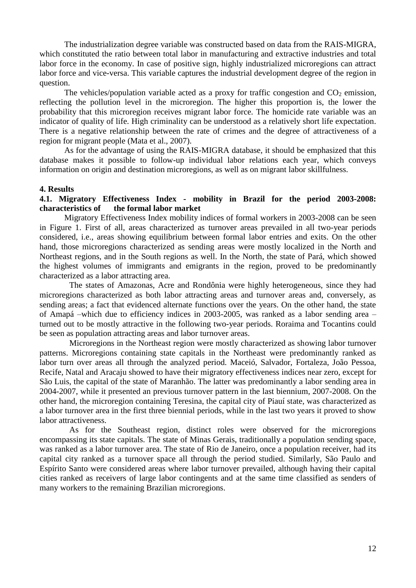The industrialization degree variable was constructed based on data from the RAIS-MIGRA, which constituted the ratio between total labor in manufacturing and extractive industries and total labor force in the economy. In case of positive sign, highly industrialized microregions can attract labor force and vice-versa. This variable captures the industrial development degree of the region in question.

The vehicles/population variable acted as a proxy for traffic congestion and  $CO<sub>2</sub>$  emission, reflecting the pollution level in the microregion. The higher this proportion is, the lower the probability that this microregion receives migrant labor force. The homicide rate variable was an indicator of quality of life. High criminality can be understood as a relatively short life expectation. There is a negative relationship between the rate of crimes and the degree of attractiveness of a region for migrant people (Mata et al., 2007).

As for the advantage of using the RAIS-MIGRA database, it should be emphasized that this database makes it possible to follow-up individual labor relations each year, which conveys information on origin and destination microregions, as well as on migrant labor skillfulness.

#### **4. Results**

## **4.1. Migratory Effectiveness Index - mobility in Brazil for the period 2003-2008: characteristics of the formal labor market**

Migratory Effectiveness Index mobility indices of formal workers in 2003-2008 can be seen in Figure 1. First of all, areas characterized as turnover areas prevailed in all two-year periods considered, i.e., areas showing equilibrium between formal labor entries and exits. On the other hand, those microregions characterized as sending areas were mostly localized in the North and Northeast regions, and in the South regions as well. In the North, the state of Pará, which showed the highest volumes of immigrants and emigrants in the region, proved to be predominantly characterized as a labor attracting area.

The states of Amazonas, Acre and Rondônia were highly heterogeneous, since they had microregions characterized as both labor attracting areas and turnover areas and, conversely, as sending areas; a fact that evidenced alternate functions over the years. On the other hand, the state of Amapá –which due to efficiency indices in 2003-2005, was ranked as a labor sending area – turned out to be mostly attractive in the following two-year periods. Roraima and Tocantins could be seen as population attracting areas and labor turnover areas.

Microregions in the Northeast region were mostly characterized as showing labor turnover patterns. Microregions containing state capitals in the Northeast were predominantly ranked as labor turn over areas all through the analyzed period. Maceió, Salvador, Fortaleza, João Pessoa, Recife, Natal and Aracaju showed to have their migratory effectiveness indices near zero, except for São Luis, the capital of the state of Maranhão. The latter was predominantly a labor sending area in 2004-2007, while it presented an previous turnover pattern in the last biennium, 2007-2008. On the other hand, the microregion containing Teresina, the capital city of Piauí state, was characterized as a labor turnover area in the first three biennial periods, while in the last two years it proved to show labor attractiveness.

As for the Southeast region, distinct roles were observed for the microregions encompassing its state capitals. The state of Minas Gerais, traditionally a population sending space, was ranked as a labor turnover area. The state of Rio de Janeiro, once a population receiver, had its capital city ranked as a turnover space all through the period studied. Similarly, São Paulo and Espírito Santo were considered areas where labor turnover prevailed, although having their capital cities ranked as receivers of large labor contingents and at the same time classified as senders of many workers to the remaining Brazilian microregions.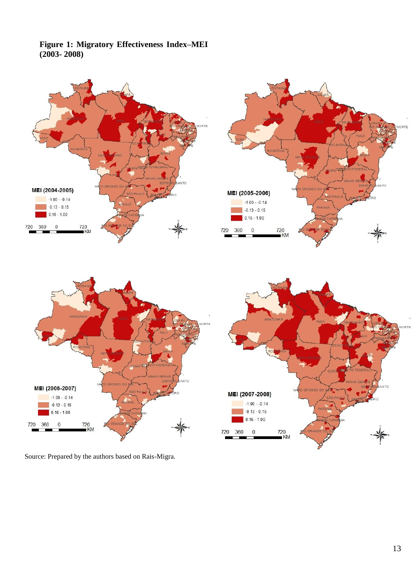# **Figure 1: Migratory Effectiveness Index–MEI (2003- 2008)**



Source: Prepared by the authors based on Rais-Migra.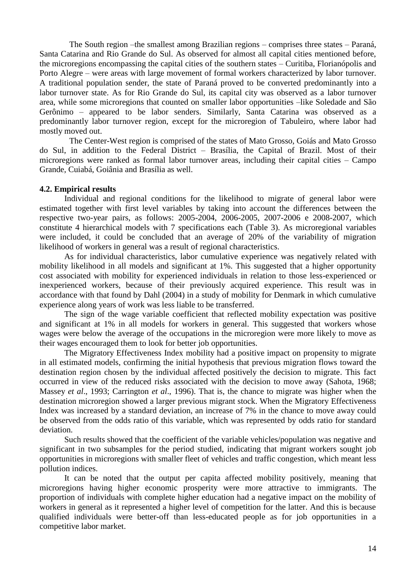The South region –the smallest among Brazilian regions – comprises three states – Paraná, Santa Catarina and Rio Grande do Sul. As observed for almost all capital cities mentioned before, the microregions encompassing the capital cities of the southern states – Curitiba, Florianópolis and Porto Alegre – were areas with large movement of formal workers characterized by labor turnover. A traditional population sender, the state of Paraná proved to be converted predominantly into a labor turnover state. As for Rio Grande do Sul, its capital city was observed as a labor turnover area, while some microregions that counted on smaller labor opportunities –like Soledade and São Gerônimo – appeared to be labor senders. Similarly, Santa Catarina was observed as a predominantly labor turnover region, except for the microregion of Tabuleiro, where labor had mostly moved out.

The Center-West region is comprised of the states of Mato Grosso, Goiás and Mato Grosso do Sul, in addition to the Federal District – Brasília, the Capital of Brazil. Most of their microregions were ranked as formal labor turnover areas, including their capital cities – Campo Grande, Cuiabá, Goiânia and Brasília as well.

## **4.2. Empirical results**

Individual and regional conditions for the likelihood to migrate of general labor were estimated together with first level variables by taking into account the differences between the respective two-year pairs, as follows: 2005-2004, 2006-2005, 2007-2006 e 2008-2007, which constitute 4 hierarchical models with 7 specifications each (Table 3). As microregional variables were included, it could be concluded that an average of 20% of the variability of migration likelihood of workers in general was a result of regional characteristics.

As for individual characteristics, labor cumulative experience was negatively related with mobility likelihood in all models and significant at 1%. This suggested that a higher opportunity cost associated with mobility for experienced individuals in relation to those less-experienced or inexperienced workers, because of their previously acquired experience. This result was in accordance with that found by Dahl (2004) in a study of mobility for Denmark in which cumulative experience along years of work was less liable to be transferred.

The sign of the wage variable coefficient that reflected mobility expectation was positive and significant at 1% in all models for workers in general. This suggested that workers whose wages were below the average of the occupations in the microregion were more likely to move as their wages encouraged them to look for better job opportunities.

The Migratory Effectiveness Index mobility had a positive impact on propensity to migrate in all estimated models, confirming the initial hypothesis that previous migration flows toward the destination region chosen by the individual affected positively the decision to migrate. This fact occurred in view of the reduced risks associated with the decision to move away (Sahota, 1968; Massey *et al*., 1993; Carrington *et al*., 1996). That is, the chance to migrate was higher when the destination microregion showed a larger previous migrant stock. When the Migratory Effectiveness Index was increased by a standard deviation, an increase of 7% in the chance to move away could be observed from the odds ratio of this variable, which was represented by odds ratio for standard deviation.

Such results showed that the coefficient of the variable vehicles/population was negative and significant in two subsamples for the period studied, indicating that migrant workers sought job opportunities in microregions with smaller fleet of vehicles and traffic congestion, which meant less pollution indices.

It can be noted that the output per capita affected mobility positively, meaning that microregions having higher economic prosperity were more attractive to immigrants. The proportion of individuals with complete higher education had a negative impact on the mobility of workers in general as it represented a higher level of competition for the latter. And this is because qualified individuals were better-off than less-educated people as for job opportunities in a competitive labor market.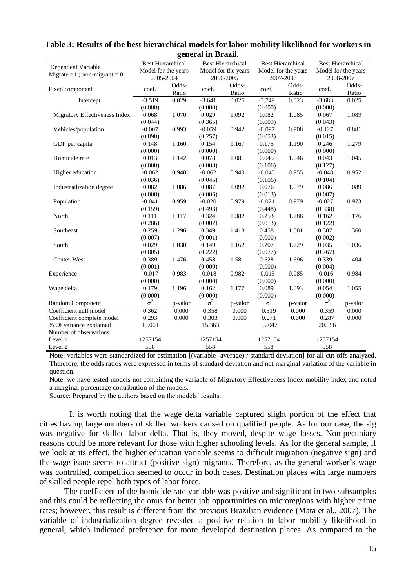|                                   | <b>Best Hierarchical</b> |         | <b>Best Hierarchical</b> |         | <b>Best Hierarchical</b> |         | <b>Best Hierarchical</b> |         |
|-----------------------------------|--------------------------|---------|--------------------------|---------|--------------------------|---------|--------------------------|---------|
| Dependent Variable                | Model for the years      |         | Model for the years      |         | Model for the years      |         | Model for the years      |         |
| Migrate = $1$ ; non-migrant = $0$ | 2005-2004                |         | 2006-2005                |         | 2007-2006                |         | 2008-2007                |         |
|                                   |                          | Odds-   |                          | Odds-   |                          | Odds-   |                          | Odds-   |
| Fixed component                   | coef.                    | Ratio   | coef.                    | Ratio   | coef.                    | Ratio   | coef.                    | Ratio   |
| Intercept                         | $-3.519$                 | 0.029   | $-3.641$                 | 0.026   | $-3.749$                 | 0.023   | $-3.683$                 | 0.025   |
|                                   | (0.000)                  |         | (0.000)                  |         | (0.000)                  |         | (0.000)                  |         |
| Migratory Effectiveness Index     | 0.068                    | 1.070   | 0.029                    | 1.092   | 0.082                    | 1.085   | 0.067                    | 1.089   |
|                                   | (0.044)                  |         | (0.365)                  |         | (0.009)                  |         | (0.043)                  |         |
| Vehicles/population               | $-0.007$                 | 0.993   | $-0.059$                 | 0.942   | $-0.097$                 | 0.908   | $-0.127$                 | 0.881   |
|                                   | (0.890)                  |         | (0.257)                  |         | (0.053)                  |         | (0.015)                  |         |
| GDP per capita                    | 0.148                    | 1.160   | 0.154                    | 1.167   | 0.175                    | 1.190   | 0.246                    | 1.279   |
|                                   | (0.000)                  |         | (0.000)                  |         | (0.000)                  |         | (0.000)                  |         |
| Homicide rate                     | 0.013                    | 1.142   | 0.078                    | 1.081   | 0.045                    | 1.046   | 0.043                    | 1.045   |
|                                   | (0.000)                  |         | (0.008)                  |         | (0.106)                  |         | (0.127)                  |         |
| Higher education                  | $-0.062$                 | 0.940   | $-0.062$                 | 0.940   | $-0.045$                 | 0.955   | $-0.048$                 | 0.952   |
|                                   | (0.036)                  |         | (0.045)                  |         | (0.106)                  |         | (0.104)                  |         |
| Industrialization degree          | 0.082                    | 1.086   | 0.087                    | 1.092   | 0.076                    | 1.079   | 0.086                    | 1.089   |
|                                   | (0.008)                  |         | (0.006)                  |         | (0.013)                  |         | (0.007)                  |         |
| Population                        | $-0.041$                 | 0.959   | $-0.020$                 | 0.979   | $-0.021$                 | 0.979   | $-0.027$                 | 0.973   |
|                                   | (0.159)                  |         | (0.493)                  |         | (0.448)                  |         | (0.338)                  |         |
| North                             | 0.111                    | 1.117   | 0.324                    | 1.382   | 0.253                    | 1.288   | 0.162                    | 1.176   |
|                                   | (0.286)                  |         | (0.002)                  |         | (0.013)                  |         | (0.122)                  |         |
| Southeast                         | 0.259                    | 1.296   | 0.349                    | 1.418   | 0.458                    | 1.581   | 0.307                    | 1.360   |
|                                   | (0.007)                  |         | (0.001)                  |         | (0.000)                  |         | (0.002)                  |         |
| South                             | 0.029                    | 1.030   | 0.149                    | 1.162   | 0.207                    | 1.229   | 0.035                    | 1.036   |
|                                   | (0.805)                  |         | (0.222)                  |         | (0.077)                  |         | (0.767)                  |         |
| Center-West                       | 0.389                    | 1.476   | 0.458                    | 1.581   | 0.528                    | 1.696   | 0.339                    | 1.404   |
|                                   | (0.001)                  |         | (0.000)                  |         | (0.000)                  |         | (0.004)                  |         |
| Experience                        | $-0.017$                 | 0.983   | $-0.018$                 | 0.982   | $-0.015$                 | 0.985   | $-0.016$                 | 0.984   |
|                                   | (0.000)                  |         | (0.000)                  |         | (0.000)                  |         | (0.000)                  |         |
| Wage delta                        | 0.179                    | 1.196   | 0.162                    | 1.177   | 0.089                    | 1.093   | 0.054                    | 1.055   |
|                                   | (0.000)                  |         | (0.000)                  |         | (0.000)                  |         | (0.000)                  |         |
| Random Component                  | $\sigma^2$               | p-valor | $\sigma^2$               | p-valor | $\sigma^2$               | p-valor | $\sigma^2$               | p-valor |
| Coefficient null model            | 0.362                    | 0.000   | 0.358                    | 0.000   | 0.319                    | 0.000   | 0.359                    | 0.000   |
| Coefficient complete model        | 0.293                    | 0.000   | 0.303                    | 0.000   | 0.271                    | 0.000   | 0.287                    | 0.000   |
| % Of variance explained           | 19.061                   |         | 15.363                   |         | 15.047                   |         | 20.056                   |         |
| Number of observations            |                          |         |                          |         |                          |         |                          |         |
| Level 1                           | 1257154                  |         | 1257154                  |         | 1257154                  |         | 1257154                  |         |
| Level 2                           | 558                      |         | 558                      |         | 558                      |         | 558                      |         |

#### **Table 3: Results of the best hierarchical models for labor mobility likelihood for workers in general in Brazil.**

Note: variables were standardized for estimation [(variable- average) / standard deviation] for all cut-offs analyzed. Therefore, the odds ratios were expressed in terms of standard deviation and not marginal variation of the variable in question.

Note: we have tested models not containing the variable of Migratory Effectiveness Index mobility index and noted a marginal percentage contribution of the models.

Source: Prepared by the authors based on the models' results.

It is worth noting that the wage delta variable captured slight portion of the effect that cities having large numbers of skilled workers caused on qualified people. As for our case, the sig was negative for skilled labor delta. That is, they moved, despite wage losses. Non-pecuniary reasons could be more relevant for those with higher schooling levels. As for the general sample, if we look at its effect, the higher education variable seems to difficult migration (negative sign) and the wage issue seems to attract (positive sign) migrants. Therefore, as the general worker's wage was controlled, competition seemed to occur in both cases. Destination places with large numbers of skilled people repel both types of labor force.

The coefficient of the homicide rate variable was positive and significant in two subsamples and this could be reflecting the onus for better job opportunities on microregions with higher crime rates; however, this result is different from the previous Brazilian evidence (Mata et al., 2007). The variable of industrialization degree revealed a positive relation to labor mobility likelihood in general, which indicated preference for more developed destination places. As compared to the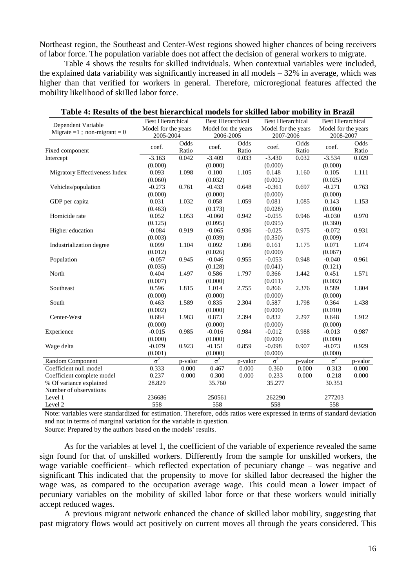Northeast region, the Southeast and Center-West regions showed higher chances of being receivers of labor force. The population variable does not affect the decision of general workers to migrate.

Table 4 shows the results for skilled individuals. When contextual variables were included, the explained data variability was significantly increased in all models  $-32\%$  in average, which was higher than that verified for workers in general. Therefore, microregional features affected the mobility likelihood of skilled labor force.

| Dependent Variable              | <b>Best Hierarchical</b>         |               | <b>Best Hierarchical</b>         |               | <b>Best Hierarchical</b>         |               | <b>Best Hierarchical</b>         |               |
|---------------------------------|----------------------------------|---------------|----------------------------------|---------------|----------------------------------|---------------|----------------------------------|---------------|
| Migrate = 1 ; non-migrant = $0$ | Model for the years<br>2005-2004 |               | Model for the years<br>2006-2005 |               | Model for the years<br>2007-2006 |               | Model for the years<br>2008-2007 |               |
| Fixed component                 | coef.                            | Odds<br>Ratio | coef.                            | Odds<br>Ratio | coef.                            | Odds<br>Ratio | coef.                            | Odds<br>Ratio |
| Intercept                       | $-3.163$                         | 0.042         | $-3.409$                         | 0.033         | $-3.430$                         | 0.032         | $-3.534$                         | 0.029         |
|                                 | (0.000)                          |               | (0.000)                          |               | (0.000)                          |               | (0.000)                          |               |
| Migratory Effectiveness Index   | 0.093                            | 1.098         | 0.100                            | 1.105         | 0.148                            | 1.160         | 0.105                            | 1.111         |
|                                 | (0.060)                          |               | (0.032)                          |               | (0.002)                          |               | (0.025)                          |               |
| Vehicles/population             | $-0.273$                         | 0.761         | $-0.433$                         | 0.648         | $-0.361$                         | 0.697         | $-0.271$                         | 0.763         |
|                                 | (0.000)                          |               | (0.000)                          |               | (0.000)                          |               | (0.000)                          |               |
| GDP per capita                  | 0.031                            | 1.032         | 0.058                            | 1.059         | 0.081                            | 1.085         | 0.143                            | 1.153         |
|                                 | (0.463)                          |               | (0.173)                          |               | (0.028)                          |               | (0.000)                          |               |
| Homicide rate                   | 0.052                            | 1.053         | $-0.060$                         | 0.942         | $-0.055$                         | 0.946         | $-0.030$                         | 0.970         |
|                                 | (0.125)                          |               | (0.095)                          |               | (0.095)                          |               | (0.360)                          |               |
| Higher education                | $-0.084$                         | 0.919         | $-0.065$                         | 0.936         | $-0.025$                         | 0.975         | $-0.072$                         | 0.931         |
|                                 | (0.003)                          |               | (0.039)                          |               | (0.350)                          |               | (0.009)                          |               |
| Industrialization degree        | 0.099                            | 1.104         | 0.092                            | 1.096         | 0.161                            | 1.175         | 0.071                            | 1.074         |
|                                 | (0.012)                          |               | (0.026)                          |               | (0.000)                          |               | (0.067)                          |               |
| Population                      | $-0.057$                         | 0.945         | $-0.046$                         | 0.955         | $-0.053$                         | 0.948         | $-0.040$                         | 0.961         |
|                                 | (0.035)                          |               | (0.128)                          |               | (0.041)                          |               | (0.121)                          |               |
| North                           | 0.404                            | 1.497         | 0.586                            | 1.797         | 0.366                            | 1.442         | 0.451                            | 1.571         |
|                                 | (0.007)                          |               | (0.000)                          |               | (0.011)                          |               | (0.002)                          |               |
| Southeast                       | 0.596                            | 1.815         | 1.014                            | 2.755         | 0.866                            | 2.376         | 0.589                            | 1.804         |
|                                 | (0.000)                          |               | (0.000)                          |               | (0.000)                          |               | (0.000)                          |               |
| South                           | 0.463                            | 1.589         | 0.835                            | 2.304         | 0.587                            | 1.798         | 0.364                            | 1.438         |
|                                 | (0.002)                          |               | (0.000)                          |               | (0.000)                          |               | (0.010)                          |               |
| Center-West                     | 0.684                            | 1.983         | 0.873                            | 2.394         | 0.832                            | 2.297         | 0.648                            | 1.912         |
|                                 | (0.000)                          |               | (0.000)                          |               | (0.000)                          |               | (0.000)                          |               |
| Experience                      | $-0.015$                         | 0.985         | $-0.016$                         | 0.984         | $-0.012$                         | 0.988         | $-0.013$                         | 0.987         |
|                                 | (0.000)                          |               | (0.000)                          |               | (0.000)                          |               | (0.000)                          |               |
| Wage delta                      | $-0.079$                         | 0.923         | $-0.151$                         | 0.859         | $-0.098$                         | 0.907         | $-0.073$                         | 0.929         |
|                                 | (0.001)                          |               | (0.000)                          |               | (0.000)                          |               | (0.000)                          |               |
| Random Component                | $\sigma^2$                       | p-valor       | $\sigma^2$                       | p-valor       | $\sigma^2$                       | p-valor       | $\sigma^2$                       | p-valor       |
| Coefficient null model          | 0.333                            | 0.000         | 0.467                            | 0.000         | 0.360                            | 0.000         | 0.313                            | 0.000         |
| Coefficient complete model      | 0.237                            | 0.000         | 0.300                            | 0.000         | 0.233                            | 0.000         | 0.218                            | 0.000         |
| % Of variance explained         | 28.829                           |               | 35.760                           |               | 35.277                           |               | 30.351                           |               |
| Number of observations          |                                  |               |                                  |               |                                  |               |                                  |               |
| Level 1                         | 236686                           |               | 250561                           |               | 262290                           |               | 277203                           |               |
| Level 2                         | 558                              |               | 558                              |               | 558                              |               | 558                              |               |

| Table 4: Results of the best hierarchical models for skilled labor mobility in Brazil |  |
|---------------------------------------------------------------------------------------|--|
|---------------------------------------------------------------------------------------|--|

Note: variables were standardized for estimation. Therefore, odds ratios were expressed in terms of standard deviation and not in terms of marginal variation for the variable in question.

Source: Prepared by the authors based on the models' results.

As for the variables at level 1, the coefficient of the variable of experience revealed the same sign found for that of unskilled workers. Differently from the sample for unskilled workers, the wage variable coefficient– which reflected expectation of pecuniary change – was negative and significant This indicated that the propensity to move for skilled labor decreased the higher the wage was, as compared to the occupation average wage. This could mean a lower impact of pecuniary variables on the mobility of skilled labor force or that these workers would initially accept reduced wages.

A previous migrant network enhanced the chance of skilled labor mobility, suggesting that past migratory flows would act positively on current moves all through the years considered. This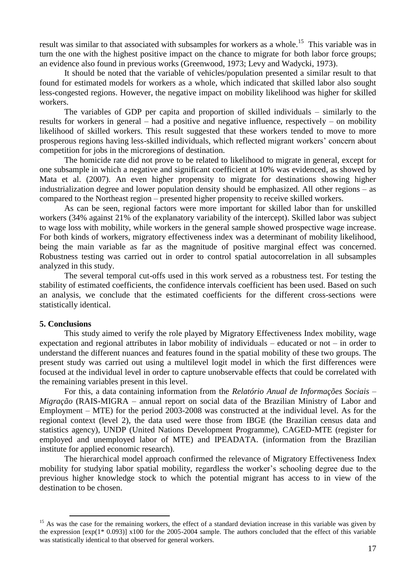result was similar to that associated with subsamples for workers as a whole.<sup>15</sup> This variable was in turn the one with the highest positive impact on the chance to migrate for both labor force groups; an evidence also found in previous works (Greenwood, 1973; Levy and Wadycki, 1973).

It should be noted that the variable of vehicles/population presented a similar result to that found for estimated models for workers as a whole, which indicated that skilled labor also sought less-congested regions. However, the negative impact on mobility likelihood was higher for skilled workers.

The variables of GDP per capita and proportion of skilled individuals – similarly to the results for workers in general – had a positive and negative influence, respectively – on mobility likelihood of skilled workers. This result suggested that these workers tended to move to more prosperous regions having less-skilled individuals, which reflected migrant workers' concern about competition for jobs in the microregions of destination.

The homicide rate did not prove to be related to likelihood to migrate in general, except for one subsample in which a negative and significant coefficient at 10% was evidenced, as showed by Mata et al. (2007). An even higher propensity to migrate for destinations showing higher industrialization degree and lower population density should be emphasized. All other regions – as compared to the Northeast region – presented higher propensity to receive skilled workers.

As can be seen, regional factors were more important for skilled labor than for unskilled workers (34% against 21% of the explanatory variability of the intercept). Skilled labor was subject to wage loss with mobility, while workers in the general sample showed prospective wage increase. For both kinds of workers, migratory effectiveness index was a determinant of mobility likelihood, being the main variable as far as the magnitude of positive marginal effect was concerned. Robustness testing was carried out in order to control spatial autocorrelation in all subsamples analyzed in this study.

The several temporal cut-offs used in this work served as a robustness test. For testing the stability of estimated coefficients, the confidence intervals coefficient has been used. Based on such an analysis, we conclude that the estimated coefficients for the different cross-sections were statistically identical.

#### **5. Conclusions**

 $\overline{a}$ 

This study aimed to verify the role played by Migratory Effectiveness Index mobility, wage expectation and regional attributes in labor mobility of individuals – educated or not – in order to understand the different nuances and features found in the spatial mobility of these two groups. The present study was carried out using a multilevel logit model in which the first differences were focused at the individual level in order to capture unobservable effects that could be correlated with the remaining variables present in this level.

For this, a data containing information from the *Relatório Anual de Informações Sociais – Migração* (RAIS-MIGRA – annual report on social data of the Brazilian Ministry of Labor and Employment – MTE) for the period 2003-2008 was constructed at the individual level. As for the regional context (level 2), the data used were those from IBGE (the Brazilian census data and statistics agency), UNDP (United Nations Development Programme), CAGED-MTE (register for employed and unemployed labor of MTE) and IPEADATA. (information from the Brazilian institute for applied economic research).

The hierarchical model approach confirmed the relevance of Migratory Effectiveness Index mobility for studying labor spatial mobility, regardless the worker's schooling degree due to the previous higher knowledge stock to which the potential migrant has access to in view of the destination to be chosen.

 $15$  As was the case for the remaining workers, the effect of a standard deviation increase in this variable was given by the expression  $[\exp(1*0.093)]$  x100 for the 2005-2004 sample. The authors concluded that the effect of this variable was statistically identical to that observed for general workers.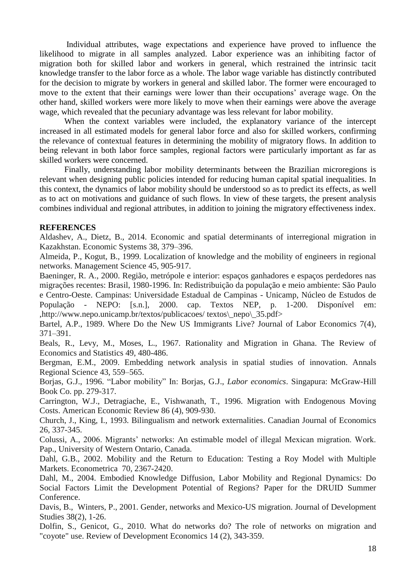Individual attributes, wage expectations and experience have proved to influence the likelihood to migrate in all samples analyzed. Labor experience was an inhibiting factor of migration both for skilled labor and workers in general, which restrained the intrinsic tacit knowledge transfer to the labor force as a whole. The labor wage variable has distinctly contributed for the decision to migrate by workers in general and skilled labor. The former were encouraged to move to the extent that their earnings were lower than their occupations' average wage. On the other hand, skilled workers were more likely to move when their earnings were above the average wage, which revealed that the pecuniary advantage was less relevant for labor mobility.

When the context variables were included, the explanatory variance of the intercept increased in all estimated models for general labor force and also for skilled workers, confirming the relevance of contextual features in determining the mobility of migratory flows. In addition to being relevant in both labor force samples, regional factors were particularly important as far as skilled workers were concerned.

Finally, understanding labor mobility determinants between the Brazilian microregions is relevant when designing public policies intended for reducing human capital spatial inequalities. In this context, the dynamics of labor mobility should be understood so as to predict its effects, as well as to act on motivations and guidance of such flows. In view of these targets, the present analysis combines individual and regional attributes, in addition to joining the migratory effectiveness index.

## **REFERENCES**

Aldashev, A., Dietz, B., 2014. Economic and spatial determinants of interregional migration in Kazakhstan. Economic Systems 38, 379–396.

Almeida, P., Kogut, B., 1999. Localization of knowledge and the mobility of engineers in regional networks. Management Science 45, 905-917.

Baeninger, R. A., 2000. Região, metrópole e interior: espaços ganhadores e espaços perdedores nas migrações recentes: Brasil, 1980-1996. In: Redistribuição da população e meio ambiente: São Paulo e Centro-Oeste. Campinas: Universidade Estadual de Campinas - Unicamp, Núcleo de Estudos de População - NEPO: [s.n.], 2000. cap. Textos NEP, p. 1-200. Disponível em: ,http://www.nepo.unicamp.br/textos/publicacoes/ textos\\_nepo\\_35.pdf>

Bartel, A.P., 1989. Where Do the New US Immigrants Live? Journal of Labor Economics 7(4), 371–391.

Beals, R., Levy, M., Moses, L., 1967. Rationality and Migration in Ghana. The Review of Economics and Statistics 49, 480-486.

Bergman, E.M., 2009. Embedding network analysis in spatial studies of innovation. Annals Regional Science 43, 559–565.

Borjas, G.J., 1996. "Labor mobility" In: Borjas, G.J., *Labor economics*. Singapura: McGraw-Hill Book Co. pp. 279-317.

Carrington, W.J., Detragiache, E., Vishwanath, T., 1996. Migration with Endogenous Moving Costs. American Economic Review 86 (4), 909-930.

Church, J., King, I., 1993. Bilingualism and network externalities. Canadian Journal of Economics 26, 337-345.

Colussi, A., 2006. Migrants' networks: An estimable model of illegal Mexican migration. Work. Pap., University of Western Ontario, Canada.

Dahl, G.B., 2002. Mobility and the Return to Education: Testing a Roy Model with Multiple Markets. Econometrica 70, 2367-2420.

Dahl, M., 2004. Embodied Knowledge Diffusion, Labor Mobility and Regional Dynamics: Do Social Factors Limit the Development Potential of Regions? Paper for the DRUID Summer Conference.

Davis, B., Winters, P., 2001. Gender, networks and Mexico-US migration. Journal of Development Studies 38(2), 1-26.

Dolfin, S., Genicot, G., 2010. What do networks do? The role of networks on migration and "coyote" use. Review of Development Economics 14 (2), 343-359.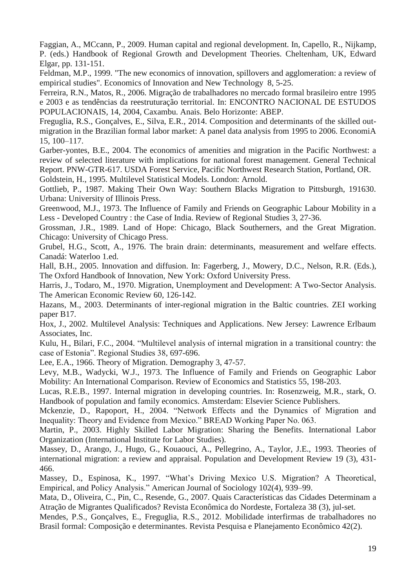Faggian, A., MCcann, P., 2009. Human capital and regional development. In, Capello, R., Nijkamp, P. (eds.) Handbook of Regional Growth and Development Theories. Cheltenham, UK, Edward Elgar, pp. 131-151.

Feldman, M.P., 1999. "The new economics of innovation, spillovers and agglomeration: a review of empirical studies". Economics of Innovation and New Technology 8, 5-25.

Ferreira, R.N., Matos, R., 2006. Migração de trabalhadores no mercado formal brasileiro entre 1995 e 2003 e as tendências da reestruturação territorial. In: ENCONTRO NACIONAL DE ESTUDOS POPULACIONAIS, 14, 2004, Caxambu. Anais. Belo Horizonte: ABEP.

Freguglia, R.S., Gonçalves, E., Silva, E.R., 2014. Composition and determinants of the skilled outmigration in the Brazilian formal labor market: A panel data analysis from 1995 to 2006. EconomiA 15, 100–117.

Garber-yontes, B.E., 2004. The economics of amenities and migration in the Pacific Northwest: a review of selected literature with implications for national forest management. General Technical Report. PNW-GTR-617. USDA Forest Service, Pacific Northwest Research Station, Portland, OR. Goldstein, H., 1995. Multilevel Statistical Models. London: Arnold.

Gottlieb, P., 1987. Making Their Own Way: Southern Blacks Migration to Pittsburgh, 191630. Urbana: University of Illinois Press.

Greenwood, M.J., 1973. The Influence of Family and Friends on Geographic Labour Mobility in a Less - Developed Country : the Case of India. Review of Regional Studies 3, 27-36.

Grossman, J.R., 1989. Land of Hope: Chicago, Black Southerners, and the Great Migration. Chicago: University of Chicago Press.

Grubel, H.G., Scott, A., 1976. The brain drain: determinants, measurement and welfare effects. Canadá: Waterloo 1.ed.

Hall, B.H., 2005. Innovation and diffusion. In: Fagerberg, J., Mowery, D.C., Nelson, R.R. (Eds.), The Oxford Handbook of Innovation, New York: Oxford University Press.

Harris, J., Todaro, M., 1970. Migration, Unemployment and Development: A Two-Sector Analysis. The American Economic Review 60, 126-142.

Hazans, M., 2003. Determinants of inter-regional migration in the Baltic countries. ZEI working paper B17.

Hox, J., 2002. Multilevel Analysis: Techniques and Applications. New Jersey: Lawrence Erlbaum Associates, Inc.

Kulu, H., Bilari, F.C., 2004. "Multilevel analysis of internal migration in a transitional country: the case of Estonia". Regional Studies 38, 697-696.

Lee, E.A., 1966. Theory of Migration. Demography 3, 47-57.

Levy, M.B., Wadycki, W.J., 1973. The Influence of Family and Friends on Geographic Labor Mobility: An International Comparison. Review of Economics and Statistics 55, 198-203.

Lucas, R.E.B., 1997. Internal migration in developing countries. In: Rosenzweig, M.R., stark, O. Handbook of population and family economics. Amsterdam: Elsevier Science Publishers.

Mckenzie, D., Rapoport, H., 2004. "Network Effects and the Dynamics of Migration and Inequality: Theory and Evidence from Mexico." BREAD Working Paper No. 063.

Martin, P., 2003. Highly Skilled Labor Migration: Sharing the Benefits. International Labor Organization (International Institute for Labor Studies).

Massey, D., Arango, J., Hugo, G., Kouaouci, A., Pellegrino, A., Taylor, J.E., 1993. Theories of international migration: a review and appraisal. Population and Development Review 19 (3), 431- 466.

Massey, D., Espinosa, K., 1997. "What's Driving Mexico U.S. Migration? A Theoretical, Empirical, and Policy Analysis." American Journal of Sociology 102(4), 939–99.

Mata, D., Oliveira, C., Pin, C., Resende, G., 2007. Quais Características das Cidades Determinam a Atração de Migrantes Qualificados? Revista Econômica do Nordeste, Fortaleza 38 (3), jul-set.

Mendes, P.S., Gonçalves, E., Freguglia, R.S., 2012. Mobilidade interfirmas de trabalhadores no Brasil formal: Composição e determinantes. Revista Pesquisa e Planejamento Econômico 42(2).